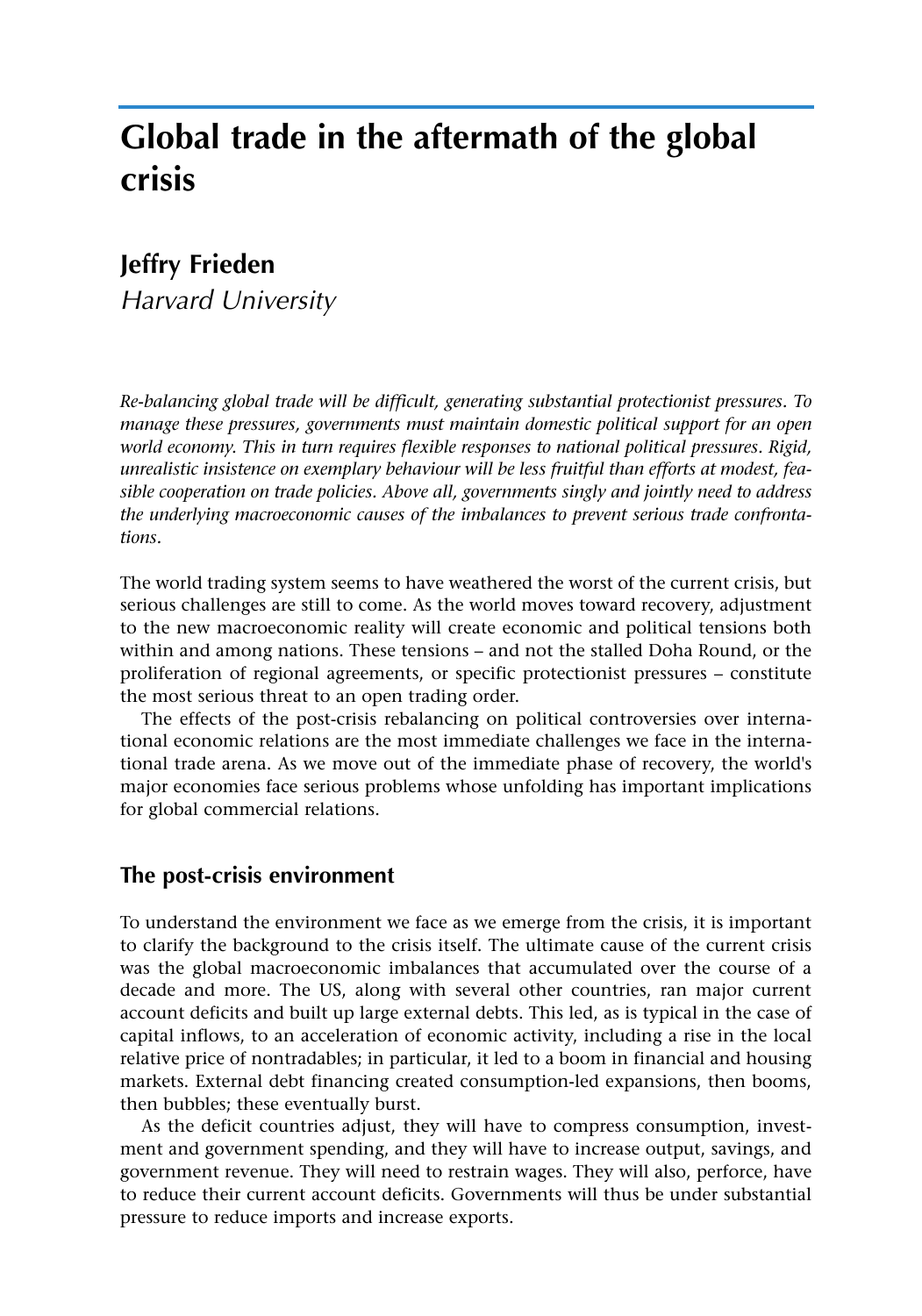# **Global trade in the aftermath of the global crisis**

## **Jeffry Frieden**

Harvard University

*Re-balancing global trade will be difficult, generating substantial protectionist pressures. To manage these pressures, governments must maintain domestic political support for an open world economy. This in turn requires flexible responses to national political pressures. Rigid, unrealistic insistence on exemplary behaviour will be less fruitful than efforts at modest, feasible cooperation on trade policies. Above all, governments singly and jointly need to address the underlying macroeconomic causes of the imbalances to prevent serious trade confrontations.* 

The world trading system seems to have weathered the worst of the current crisis, but serious challenges are still to come. As the world moves toward recovery, adjustment to the new macroeconomic reality will create economic and political tensions both within and among nations. These tensions – and not the stalled Doha Round, or the proliferation of regional agreements, or specific protectionist pressures – constitute the most serious threat to an open trading order.

The effects of the post-crisis rebalancing on political controversies over international economic relations are the most immediate challenges we face in the international trade arena. As we move out of the immediate phase of recovery, the world's major economies face serious problems whose unfolding has important implications for global commercial relations.

#### **The post-crisis environment**

To understand the environment we face as we emerge from the crisis, it is important to clarify the background to the crisis itself. The ultimate cause of the current crisis was the global macroeconomic imbalances that accumulated over the course of a decade and more. The US, along with several other countries, ran major current account deficits and built up large external debts. This led, as is typical in the case of capital inflows, to an acceleration of economic activity, including a rise in the local relative price of nontradables; in particular, it led to a boom in financial and housing markets. External debt financing created consumption-led expansions, then booms, then bubbles; these eventually burst.

As the deficit countries adjust, they will have to compress consumption, investment and government spending, and they will have to increase output, savings, and government revenue. They will need to restrain wages. They will also, perforce, have to reduce their current account deficits. Governments will thus be under substantial pressure to reduce imports and increase exports.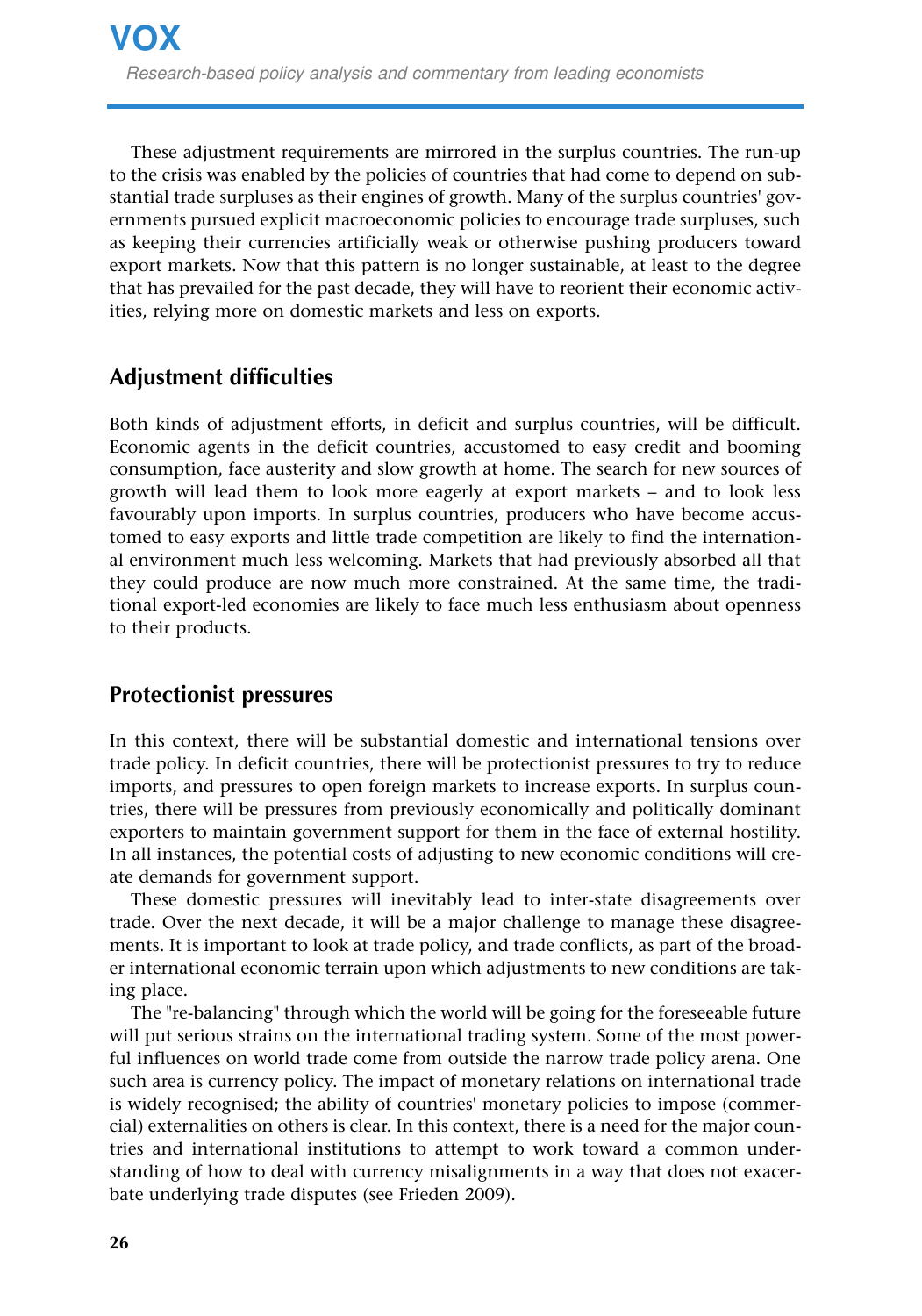These adjustment requirements are mirrored in the surplus countries. The run-up to the crisis was enabled by the policies of countries that had come to depend on substantial trade surpluses as their engines of growth. Many of the surplus countries' governments pursued explicit macroeconomic policies to encourage trade surpluses, such as keeping their currencies artificially weak or otherwise pushing producers toward export markets. Now that this pattern is no longer sustainable, at least to the degree that has prevailed for the past decade, they will have to reorient their economic activities, relying more on domestic markets and less on exports.

## **Adjustment difficulties**

Both kinds of adjustment efforts, in deficit and surplus countries, will be difficult. Economic agents in the deficit countries, accustomed to easy credit and booming consumption, face austerity and slow growth at home. The search for new sources of growth will lead them to look more eagerly at export markets – and to look less favourably upon imports. In surplus countries, producers who have become accustomed to easy exports and little trade competition are likely to find the international environment much less welcoming. Markets that had previously absorbed all that they could produce are now much more constrained. At the same time, the traditional export-led economies are likely to face much less enthusiasm about openness to their products.

## **Protectionist pressures**

In this context, there will be substantial domestic and international tensions over trade policy. In deficit countries, there will be protectionist pressures to try to reduce imports, and pressures to open foreign markets to increase exports. In surplus countries, there will be pressures from previously economically and politically dominant exporters to maintain government support for them in the face of external hostility. In all instances, the potential costs of adjusting to new economic conditions will create demands for government support.

These domestic pressures will inevitably lead to inter-state disagreements over trade. Over the next decade, it will be a major challenge to manage these disagreements. It is important to look at trade policy, and trade conflicts, as part of the broader international economic terrain upon which adjustments to new conditions are taking place.

The "re-balancing" through which the world will be going for the foreseeable future will put serious strains on the international trading system. Some of the most powerful influences on world trade come from outside the narrow trade policy arena. One such area is currency policy. The impact of monetary relations on international trade is widely recognised; the ability of countries' monetary policies to impose (commercial) externalities on others is clear. In this context, there is a need for the major countries and international institutions to attempt to work toward a common understanding of how to deal with currency misalignments in a way that does not exacerbate underlying trade disputes (see Frieden 2009).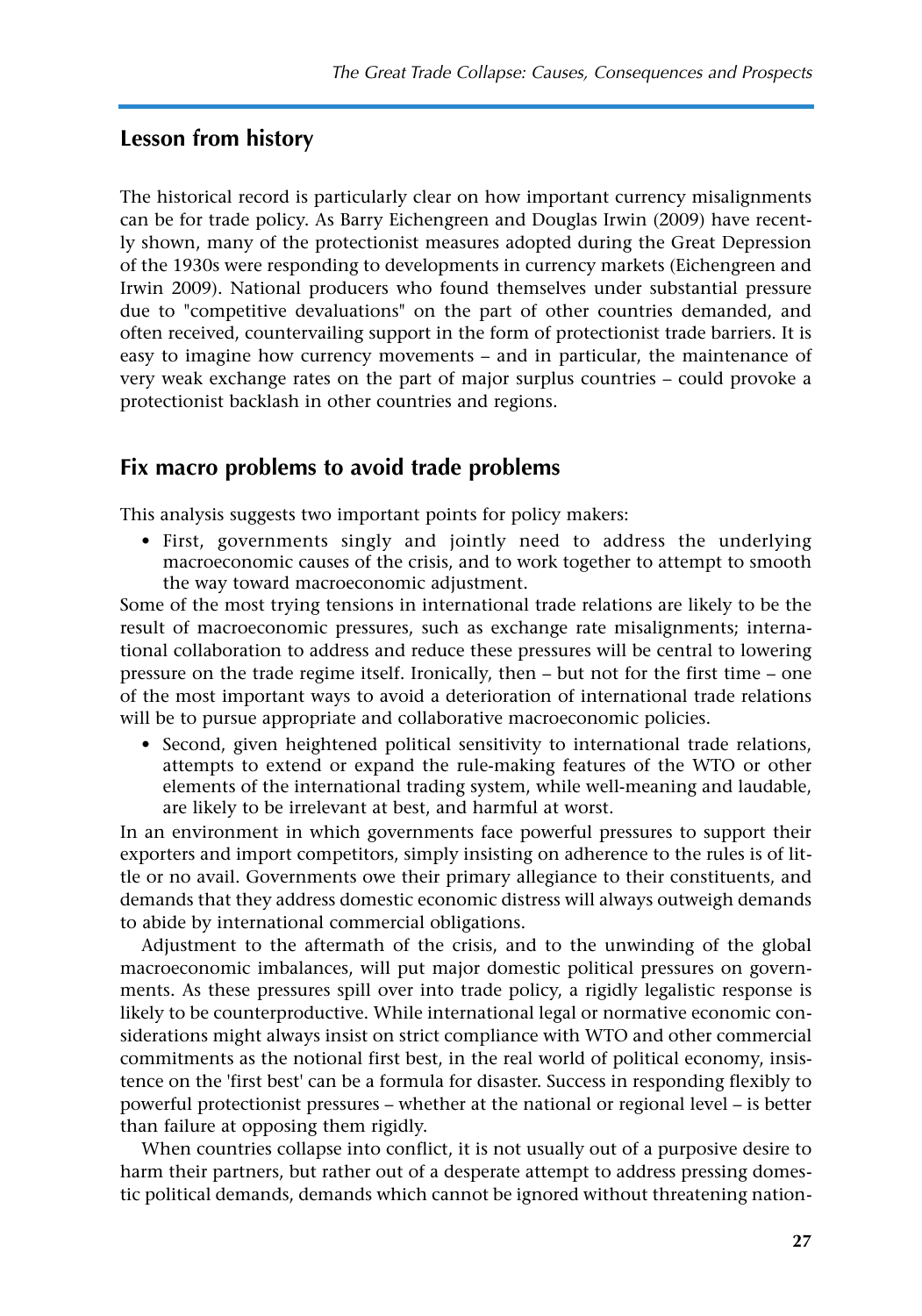#### **Lesson from history**

The historical record is particularly clear on how important currency misalignments can be for trade policy. As Barry Eichengreen and Douglas Irwin (2009) have recently shown, many of the protectionist measures adopted during the Great Depression of the 1930s were responding to developments in currency markets (Eichengreen and Irwin 2009). National producers who found themselves under substantial pressure due to "competitive devaluations" on the part of other countries demanded, and often received, countervailing support in the form of protectionist trade barriers. It is easy to imagine how currency movements – and in particular, the maintenance of very weak exchange rates on the part of major surplus countries – could provoke a protectionist backlash in other countries and regions.

## **Fix macro problems to avoid trade problems**

This analysis suggests two important points for policy makers:

• First, governments singly and jointly need to address the underlying macroeconomic causes of the crisis, and to work together to attempt to smooth the way toward macroeconomic adjustment.

Some of the most trying tensions in international trade relations are likely to be the result of macroeconomic pressures, such as exchange rate misalignments; international collaboration to address and reduce these pressures will be central to lowering pressure on the trade regime itself. Ironically, then  $-$  but not for the first time  $-$  one of the most important ways to avoid a deterioration of international trade relations will be to pursue appropriate and collaborative macroeconomic policies.

• Second, given heightened political sensitivity to international trade relations, attempts to extend or expand the rule-making features of the WTO or other elements of the international trading system, while well-meaning and laudable, are likely to be irrelevant at best, and harmful at worst.

In an environment in which governments face powerful pressures to support their exporters and import competitors, simply insisting on adherence to the rules is of little or no avail. Governments owe their primary allegiance to their constituents, and demands that they address domestic economic distress will always outweigh demands to abide by international commercial obligations.

Adjustment to the aftermath of the crisis, and to the unwinding of the global macroeconomic imbalances, will put major domestic political pressures on governments. As these pressures spill over into trade policy, a rigidly legalistic response is likely to be counterproductive. While international legal or normative economic considerations might always insist on strict compliance with WTO and other commercial commitments as the notional first best, in the real world of political economy, insistence on the 'first best' can be a formula for disaster. Success in responding flexibly to powerful protectionist pressures – whether at the national or regional level – is better than failure at opposing them rigidly.

When countries collapse into conflict, it is not usually out of a purposive desire to harm their partners, but rather out of a desperate attempt to address pressing domestic political demands, demands which cannot be ignored without threatening nation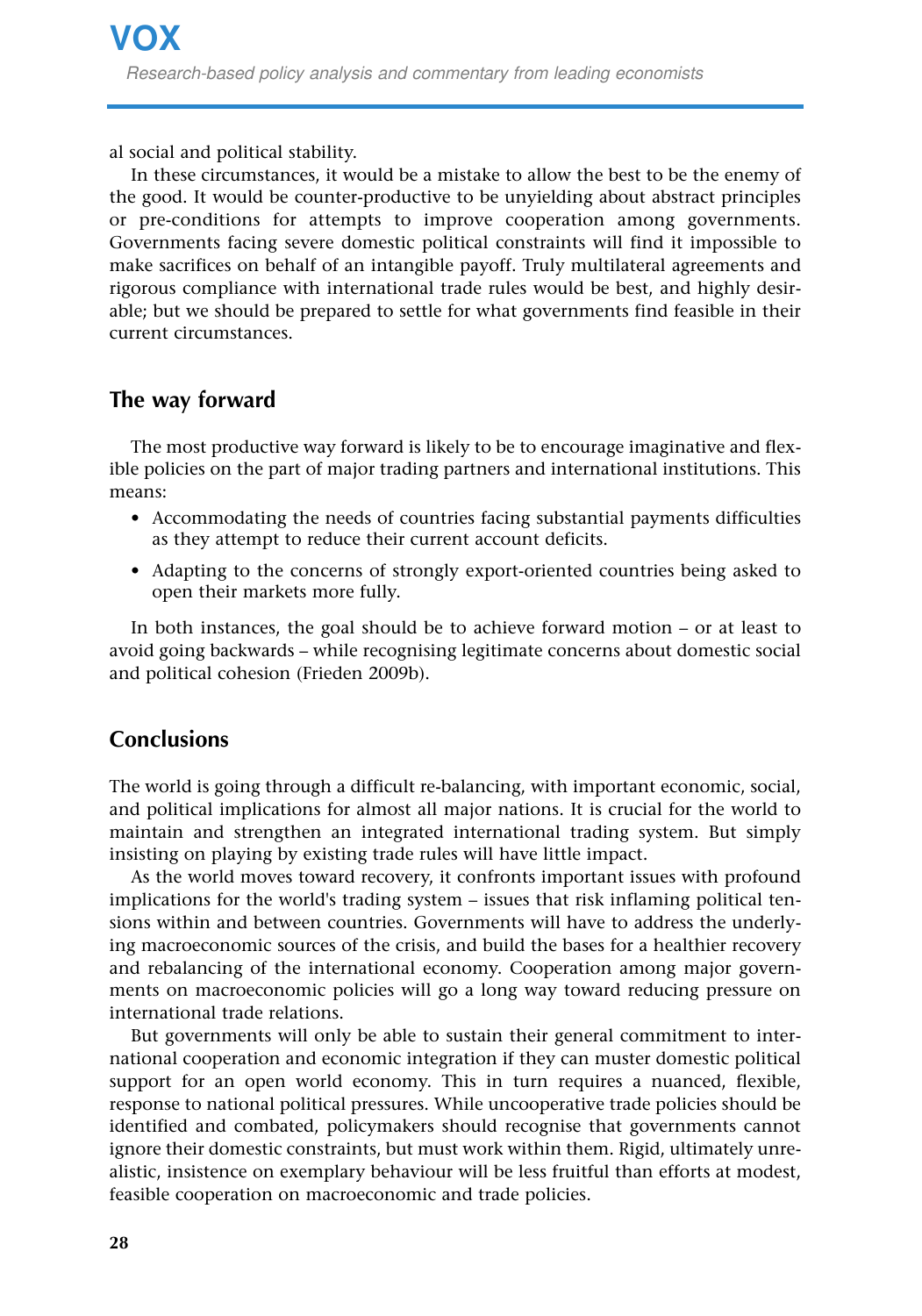al social and political stability.

In these circumstances, it would be a mistake to allow the best to be the enemy of the good. It would be counter-productive to be unyielding about abstract principles or pre-conditions for attempts to improve cooperation among governments. Governments facing severe domestic political constraints will find it impossible to make sacrifices on behalf of an intangible payoff. Truly multilateral agreements and rigorous compliance with international trade rules would be best, and highly desirable; but we should be prepared to settle for what governments find feasible in their current circumstances.

#### **The way forward**

The most productive way forward is likely to be to encourage imaginative and flexible policies on the part of major trading partners and international institutions. This means:

- ï Accommodating the needs of countries facing substantial payments difficulties as they attempt to reduce their current account deficits.
- Adapting to the concerns of strongly export-oriented countries being asked to open their markets more fully.

In both instances, the goal should be to achieve forward motion  $-$  or at least to avoid going backwards – while recognising legitimate concerns about domestic social and political cohesion (Frieden 2009b).

## **Conclusions**

The world is going through a difficult re-balancing, with important economic, social, and political implications for almost all major nations. It is crucial for the world to maintain and strengthen an integrated international trading system. But simply insisting on playing by existing trade rules will have little impact.

As the world moves toward recovery, it confronts important issues with profound implications for the world's trading system  $-$  issues that risk inflaming political tensions within and between countries. Governments will have to address the underlying macroeconomic sources of the crisis, and build the bases for a healthier recovery and rebalancing of the international economy. Cooperation among major governments on macroeconomic policies will go a long way toward reducing pressure on international trade relations.

But governments will only be able to sustain their general commitment to international cooperation and economic integration if they can muster domestic political support for an open world economy. This in turn requires a nuanced, flexible, response to national political pressures. While uncooperative trade policies should be identified and combated, policymakers should recognise that governments cannot ignore their domestic constraints, but must work within them. Rigid, ultimately unrealistic, insistence on exemplary behaviour will be less fruitful than efforts at modest, feasible cooperation on macroeconomic and trade policies.